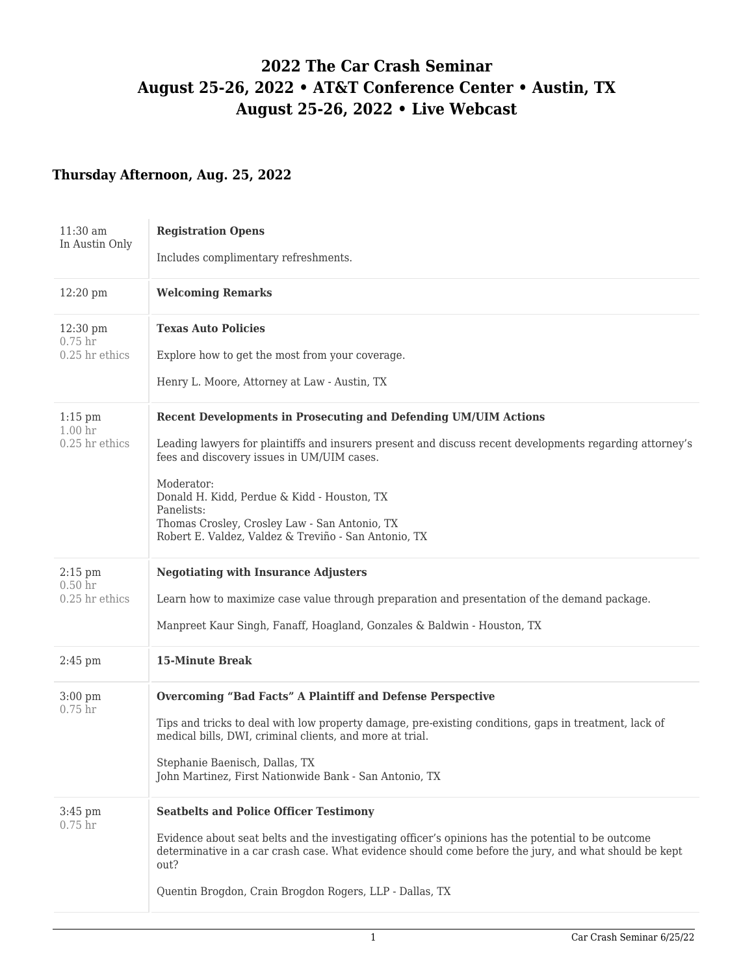# **2022 The Car Crash Seminar August 25-26, 2022 • AT&T Conference Center • Austin, TX August 25-26, 2022 • Live Webcast**

### **Thursday Afternoon, Aug. 25, 2022**

| $11:30$ am<br>In Austin Only                               | <b>Registration Opens</b><br>Includes complimentary refreshments.                                                                                                                                                                                                                                                                                                                                                    |
|------------------------------------------------------------|----------------------------------------------------------------------------------------------------------------------------------------------------------------------------------------------------------------------------------------------------------------------------------------------------------------------------------------------------------------------------------------------------------------------|
| $12:20 \text{ pm}$                                         | <b>Welcoming Remarks</b>                                                                                                                                                                                                                                                                                                                                                                                             |
| $12:30 \text{ pm}$<br>0.75 <sub>hr</sub><br>0.25 hr ethics | <b>Texas Auto Policies</b><br>Explore how to get the most from your coverage.<br>Henry L. Moore, Attorney at Law - Austin, TX                                                                                                                                                                                                                                                                                        |
| $1:15$ pm<br>1.00 <sub>hr</sub><br>$0.25$ hr ethics        | <b>Recent Developments in Prosecuting and Defending UM/UIM Actions</b><br>Leading lawyers for plaintiffs and insurers present and discuss recent developments regarding attorney's<br>fees and discovery issues in UM/UIM cases.<br>Moderator:<br>Donald H. Kidd, Perdue & Kidd - Houston, TX<br>Panelists:<br>Thomas Crosley, Crosley Law - San Antonio, TX<br>Robert E. Valdez, Valdez & Treviño - San Antonio, TX |
| $2:15$ pm<br>0.50 <sub>hr</sub><br>0.25 hr ethics          | <b>Negotiating with Insurance Adjusters</b><br>Learn how to maximize case value through preparation and presentation of the demand package.<br>Manpreet Kaur Singh, Fanaff, Hoagland, Gonzales & Baldwin - Houston, TX                                                                                                                                                                                               |
| $2:45$ pm                                                  | <b>15-Minute Break</b>                                                                                                                                                                                                                                                                                                                                                                                               |
| $3:00$ pm<br>$0.75$ hr                                     | Overcoming "Bad Facts" A Plaintiff and Defense Perspective<br>Tips and tricks to deal with low property damage, pre-existing conditions, gaps in treatment, lack of<br>medical bills, DWI, criminal clients, and more at trial.<br>Stephanie Baenisch, Dallas, TX<br>John Martinez, First Nationwide Bank - San Antonio, TX                                                                                          |
| $3:45$ pm<br>$0.75$ hr                                     | <b>Seatbelts and Police Officer Testimony</b><br>Evidence about seat belts and the investigating officer's opinions has the potential to be outcome<br>determinative in a car crash case. What evidence should come before the jury, and what should be kept<br>out?<br>Quentin Brogdon, Crain Brogdon Rogers, LLP - Dallas, TX                                                                                      |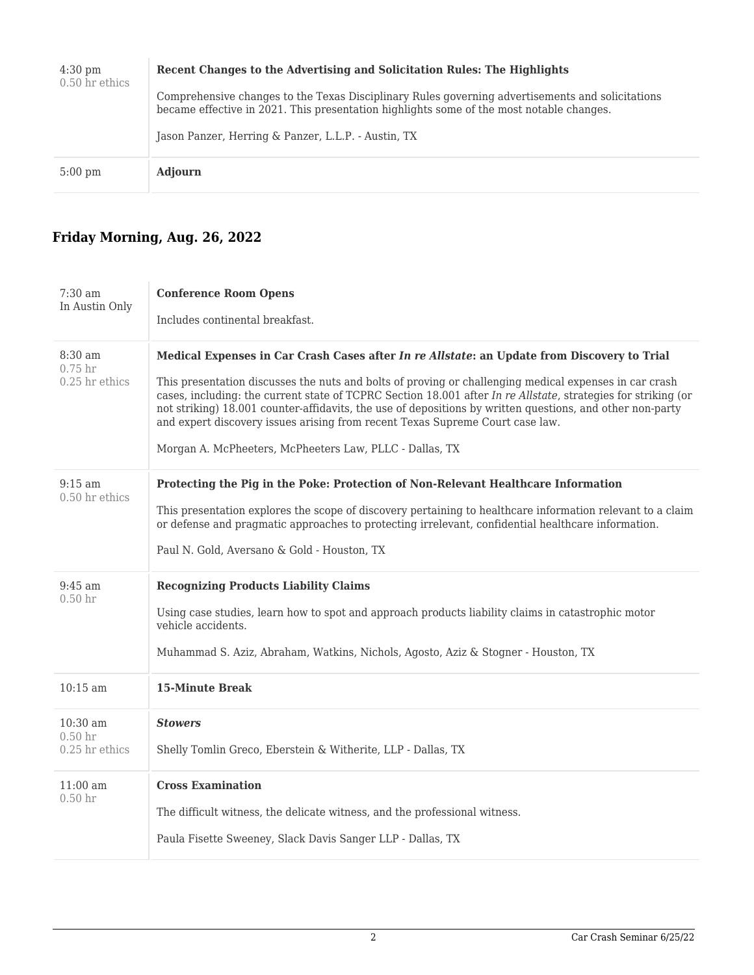| $4:30 \text{ pm}$<br>$0.50$ hr ethics | Recent Changes to the Advertising and Solicitation Rules: The Highlights<br>Comprehensive changes to the Texas Disciplinary Rules governing advertisements and solicitations<br>became effective in 2021. This presentation highlights some of the most notable changes.<br>Jason Panzer, Herring & Panzer, L.L.P. - Austin, TX |
|---------------------------------------|---------------------------------------------------------------------------------------------------------------------------------------------------------------------------------------------------------------------------------------------------------------------------------------------------------------------------------|
| $5:00 \text{ pm}$                     | <b>Adjourn</b>                                                                                                                                                                                                                                                                                                                  |

### **Friday Morning, Aug. 26, 2022**

| $7:30$ am<br>In Austin Only                          | <b>Conference Room Opens</b><br>Includes continental breakfast.                                                                                                                                                                                                                                                                                                                                                                                                                                                                                                                 |
|------------------------------------------------------|---------------------------------------------------------------------------------------------------------------------------------------------------------------------------------------------------------------------------------------------------------------------------------------------------------------------------------------------------------------------------------------------------------------------------------------------------------------------------------------------------------------------------------------------------------------------------------|
| $8:30$ am<br>0.75 <sub>hr</sub><br>$0.25$ hr ethics  | Medical Expenses in Car Crash Cases after In re Allstate: an Update from Discovery to Trial<br>This presentation discusses the nuts and bolts of proving or challenging medical expenses in car crash<br>cases, including: the current state of TCPRC Section 18.001 after In re Allstate, strategies for striking (or<br>not striking) 18.001 counter-affidavits, the use of depositions by written questions, and other non-party<br>and expert discovery issues arising from recent Texas Supreme Court case law.<br>Morgan A. McPheeters, McPheeters Law, PLLC - Dallas, TX |
| $9:15$ am<br>$0.50$ hr ethics                        | Protecting the Pig in the Poke: Protection of Non-Relevant Healthcare Information<br>This presentation explores the scope of discovery pertaining to healthcare information relevant to a claim<br>or defense and pragmatic approaches to protecting irrelevant, confidential healthcare information.<br>Paul N. Gold, Aversano & Gold - Houston, TX                                                                                                                                                                                                                            |
| $9:45$ am<br>0.50 <sub>hr</sub>                      | <b>Recognizing Products Liability Claims</b><br>Using case studies, learn how to spot and approach products liability claims in catastrophic motor<br>vehicle accidents.<br>Muhammad S. Aziz, Abraham, Watkins, Nichols, Agosto, Aziz & Stogner - Houston, TX                                                                                                                                                                                                                                                                                                                   |
| $10:15$ am                                           | <b>15-Minute Break</b>                                                                                                                                                                                                                                                                                                                                                                                                                                                                                                                                                          |
| $10:30$ am<br>0.50 <sub>hr</sub><br>$0.25$ hr ethics | <b>Stowers</b><br>Shelly Tomlin Greco, Eberstein & Witherite, LLP - Dallas, TX                                                                                                                                                                                                                                                                                                                                                                                                                                                                                                  |
| $11:00 \text{ am}$<br>0.50 <sub>hr</sub>             | <b>Cross Examination</b><br>The difficult witness, the delicate witness, and the professional witness.<br>Paula Fisette Sweeney, Slack Davis Sanger LLP - Dallas, TX                                                                                                                                                                                                                                                                                                                                                                                                            |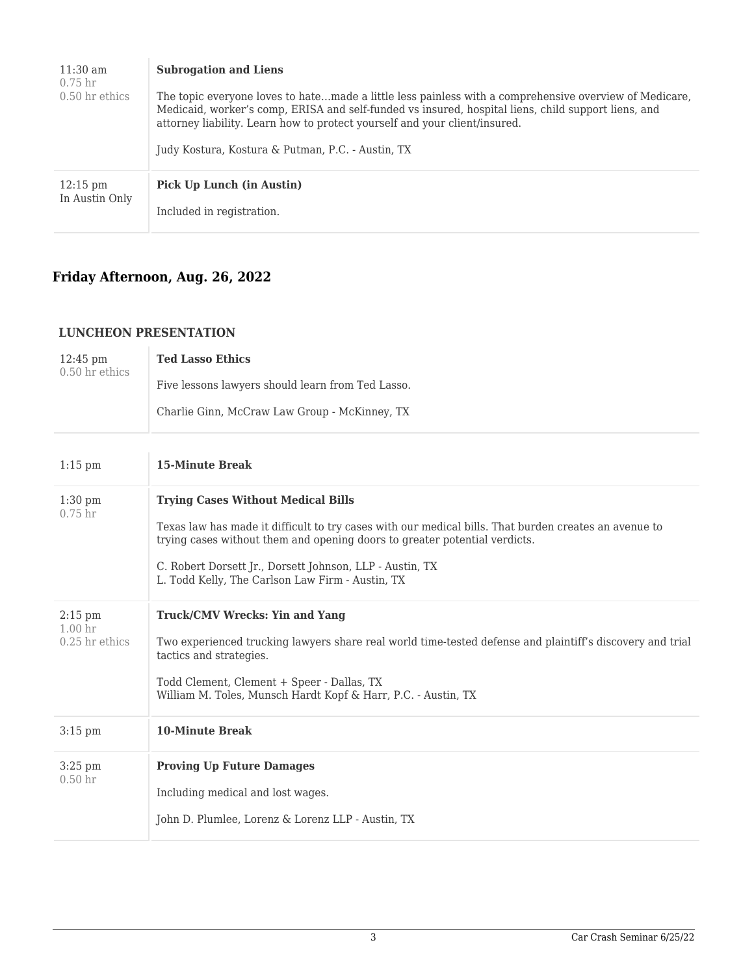| $11:30 \text{ am}$<br>0.75 <sub>hr</sub><br>$0.50$ hr ethics | <b>Subrogation and Liens</b><br>The topic everyone loves to hatemade a little less painless with a comprehensive overview of Medicare,<br>Medicaid, worker's comp, ERISA and self-funded vs insured, hospital liens, child support liens, and<br>attorney liability. Learn how to protect yourself and your client/insured.<br>Judy Kostura, Kostura & Putman, P.C. - Austin, TX |
|--------------------------------------------------------------|----------------------------------------------------------------------------------------------------------------------------------------------------------------------------------------------------------------------------------------------------------------------------------------------------------------------------------------------------------------------------------|
| $12:15 \text{ pm}$                                           | Pick Up Lunch (in Austin)                                                                                                                                                                                                                                                                                                                                                        |
| In Austin Only                                               | Included in registration.                                                                                                                                                                                                                                                                                                                                                        |

## **Friday Afternoon, Aug. 26, 2022**

#### **LUNCHEON PRESENTATION**

| $12:45 \text{ pm}$<br>0.50 hr ethics                | <b>Ted Lasso Ethics</b><br>Five lessons lawyers should learn from Ted Lasso.<br>Charlie Ginn, McCraw Law Group - McKinney, TX                                                                                                                                                                                                                    |
|-----------------------------------------------------|--------------------------------------------------------------------------------------------------------------------------------------------------------------------------------------------------------------------------------------------------------------------------------------------------------------------------------------------------|
| $1:15$ pm                                           | <b>15-Minute Break</b>                                                                                                                                                                                                                                                                                                                           |
| $1:30$ pm<br>0.75 <sub>hr</sub>                     | <b>Trying Cases Without Medical Bills</b><br>Texas law has made it difficult to try cases with our medical bills. That burden creates an avenue to<br>trying cases without them and opening doors to greater potential verdicts.<br>C. Robert Dorsett Jr., Dorsett Johnson, LLP - Austin, TX<br>L. Todd Kelly, The Carlson Law Firm - Austin, TX |
| $2:15$ pm<br>1.00 <sub>hr</sub><br>$0.25$ hr ethics | <b>Truck/CMV Wrecks: Yin and Yang</b><br>Two experienced trucking lawyers share real world time-tested defense and plaintiff's discovery and trial<br>tactics and strategies.<br>Todd Clement, Clement + Speer - Dallas, TX<br>William M. Toles, Munsch Hardt Kopf & Harr, P.C. - Austin, TX                                                     |
| $3:15$ pm                                           | <b>10-Minute Break</b>                                                                                                                                                                                                                                                                                                                           |
| $3:25$ pm<br>0.50 <sub>hr</sub>                     | <b>Proving Up Future Damages</b><br>Including medical and lost wages.<br>John D. Plumlee, Lorenz & Lorenz LLP - Austin, TX                                                                                                                                                                                                                       |